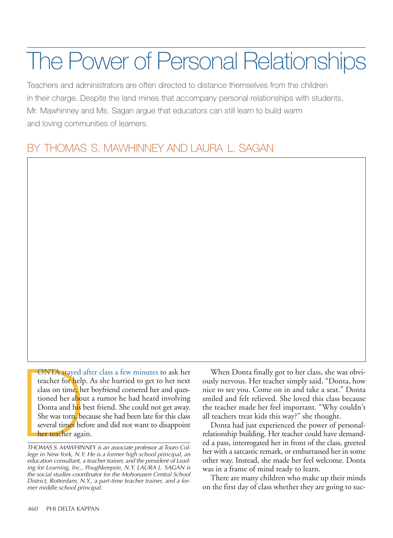# The Power of Personal Relationships

Teachers and administrators are often directed to distance themselves from the children in their charge. Despite the land mines that accompany personal relationships with students, Mr. Mawhinney and Ms. Sagan argue that educators can still learn to build warm and loving communities of learners.

## BY THOMAS S. MAWHINNEY AND LAURA L. SAGAN

**ONTA** stayed<br>teacher for help<br>class on time, he<br>tioned her abou<br>Donta and his l<br>She was torn, be<br>several times be<br>her teacher aga<br>THOMAS S. MAWHIN ONTA stayed after class a few minutes to ask her teacher for help. As she hurried to get to her next class on time, her boyfriend cornered her and questioned her about a rumor he had heard involving Donta and his best friend. She could not get away. She was torn, because she had been late for this class several times before and did not want to disappoint her teacher again.

When Donta finally got to her class, she was obviously nervous. Her teacher simply said, "Donta, how nice to see you. Come on in and take a seat." Donta smiled and felt relieved. She loved this class because the teacher made her feel important. "Why couldn't all teachers treat kids this way?" she thought.

Donta had just experienced the power of personalrelationship building. Her teacher could have demanded a pass, interrogated her in front of the class, greeted her with a sarcastic remark, or embarrassed her in some other way. Instead, she made her feel welcome. Donta was in a frame of mind ready to learn.

There are many children who make up their minds on the first day of class whether they are going to suc-

*THOMAS S. MAWHINNEY is an associate professor at Touro College in New York, N.Y. He is a former high school principal, an education consultant, a teacher trainer, and the president of Leading for Learning, Inc., Poughkeepsie, N.Y. LAURA L. SAGAN is the social studies coordinator for the Mohonasen Central School District, Rotterdam, N.Y., a part-time teacher trainer, and a former middle school principal.*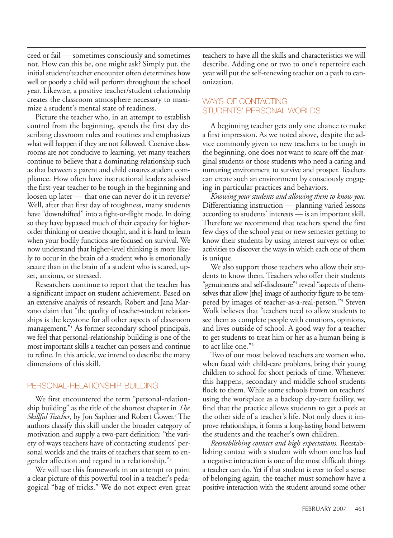ceed or fail — sometimes consciously and sometimes not. How can this be, one might ask? Simply put, the initial student/teacher encounter often determines how well or poorly a child will perform throughout the school year. Likewise, a positive teacher/student relationship creates the classroom atmosphere necessary to maximize a student's mental state of readiness.

Picture the teacher who, in an attempt to establish control from the beginning, spends the first day describing classroom rules and routines and emphasizes what will happen if they are not followed. Coercive classrooms are not conducive to learning, yet many teachers continue to believe that a dominating relationship such as that between a parent and child ensures student compliance. How often have instructional leaders advised the first-year teacher to be tough in the beginning and loosen up later — that one can never do it in reverse? Well, after that first day of toughness, many students have "downshifted" into a fight-or-flight mode. In doing so they have bypassed much of their capacity for higherorder thinking or creative thought, and it is hard to learn when your bodily functions are focused on survival. We now understand that higher-level thinking is more likely to occur in the brain of a student who is emotionally secure than in the brain of a student who is scared, upset, anxious, or stressed.

Researchers continue to report that the teacher has a significant impact on student achievement. Based on an extensive analysis of research, Robert and Jana Marzano claim that "the quality of teacher-student relationships is the keystone for all other aspects of classroom management."<sup>1</sup> As former secondary school principals, we feel that personal-relationship building is one of the most important skills a teacher can possess and continue to refine. In this article, we intend to describe the many dimensions of this skill.

#### PERSONAL-RELATIONSHIP BUILDING

We first encountered the term "personal-relationship building" as the title of the shortest chapter in *The Skillful Teacher*, by Jon Saphier and Robert Gower.<sup>2</sup> The authors classify this skill under the broader category of motivation and supply a two-part definition: "the variety of ways teachers have of contacting students' personal worlds and the traits of teachers that seem to engender affection and regard in a relationship."3

We will use this framework in an attempt to paint a clear picture of this powerful tool in a teacher's pedagogical "bag of tricks." We do not expect even great

teachers to have all the skills and characteristics we will describe. Adding one or two to one's repertoire each year will put the self-renewing teacher on a path to canonization.

#### WAYS OF CONTACTING STUDENTS' PERSONAL WORLDS

A beginning teacher gets only one chance to make a first impression. As we noted above, despite the advice commonly given to new teachers to be tough in the beginning, one does not want to scare off the marginal students or those students who need a caring and nurturing environment to survive and prosper. Teachers can create such an environment by consciously engaging in particular practices and behaviors.

*Knowing your students and allowing them to know you.* Differentiating instruction — planning varied lessons according to students' interests — is an important skill. Therefore we recommend that teachers spend the first few days of the school year or new semester getting to know their students by using interest surveys or other activities to discover the ways in which each one of them is unique.

We also support those teachers who allow their students to know them. Teachers who offer their students "genuineness and self-disclosure"4 reveal "aspects of themselves that allow [the] image of authority figure to be tempered by images of teacher-as-a-real-person."5 Steven Wolk believes that "teachers need to allow students to see them as complete people with emotions, opinions, and lives outside of school. A good way for a teacher to get students to treat him or her as a human being is to act like one."6

Two of our most beloved teachers are women who, when faced with child-care problems, bring their young children to school for short periods of time. Whenever this happens, secondary and middle school students flock to them. While some schools frown on teachers' using the workplace as a backup day-care facility, we find that the practice allows students to get a peek at the other side of a teacher's life. Not only does it improve relationships, it forms a long-lasting bond between the students and the teacher's own children.

*Reestablishing contact and high expectations.* Reestablishing contact with a student with whom one has had a negative interaction is one of the most difficult things a teacher can do. Yet if that student is ever to feel a sense of belonging again, the teacher must somehow have a positive interaction with the student around some other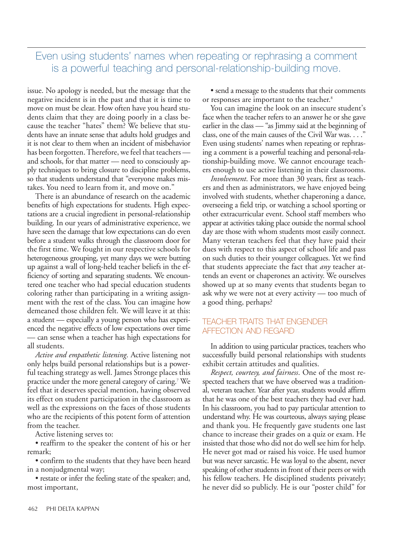### Even using students' names when repeating or rephrasing a comment is a powerful teaching and personal-relationship-building move.

issue. No apology is needed, but the message that the negative incident is in the past and that it is time to move on must be clear. How often have you heard students claim that they are doing poorly in a class because the teacher "hates" them? We believe that students have an innate sense that adults hold grudges and it is not clear to them when an incident of misbehavior has been forgotten. Therefore, we feel that teachers and schools, for that matter — need to consciously apply techniques to bring closure to discipline problems, so that students understand that "everyone makes mistakes. You need to learn from it, and move on."

There is an abundance of research on the academic benefits of high expectations for students. High expectations are a crucial ingredient in personal-relationship building. In our years of administrative experience, we have seen the damage that low expectations can do even before a student walks through the classroom door for the first time. We fought in our respective schools for heterogeneous grouping, yet many days we were butting up against a wall of long-held teacher beliefs in the efficiency of sorting and separating students. We encountered one teacher who had special education students coloring rather than participating in a writing assignment with the rest of the class. You can imagine how demeaned those children felt. We will leave it at this: a student — especially a young person who has experienced the negative effects of low expectations over time — can sense when a teacher has high expectations for all students.

*Active and empathetic listening*. Active listening not only helps build personal relationships but is a powerful teaching strategy as well. James Stronge places this practice under the more general category of caring.7 We feel that it deserves special mention, having observed its effect on student participation in the classroom as well as the expressions on the faces of those students who are the recipients of this potent form of attention from the teacher.

Active listening serves to:

• reaffirm to the speaker the content of his or her remark;

• confirm to the students that they have been heard in a nonjudgmental way;

• restate or infer the feeling state of the speaker; and, most important,

• send a message to the students that their comments or responses are important to the teacher.<sup>8</sup>

You can imagine the look on an insecure student's face when the teacher refers to an answer he or she gave earlier in the class — "as Jimmy said at the beginning of class, one of the main causes of the Civil War was. . . ." Even using students' names when repeating or rephrasing a comment is a powerful teaching and personal-relationship-building move. We cannot encourage teachers enough to use active listening in their classrooms.

*Involvement*. For more than 30 years, first as teachers and then as administrators, we have enjoyed being involved with students, whether chaperoning a dance, overseeing a field trip, or watching a school sporting or other extracurricular event. School staff members who appear at activities taking place outside the normal school day are those with whom students most easily connect. Many veteran teachers feel that they have paid their dues with respect to this aspect of school life and pass on such duties to their younger colleagues. Yet we find that students appreciate the fact that *any* teacher attends an event or chaperones an activity. We ourselves showed up at so many events that students began to ask why we were not at every activity — too much of a good thing, perhaps?

#### TEACHER TRAITS THAT ENGENDER AFFECTION AND REGARD

In addition to using particular practices, teachers who successfully build personal relationships with students exhibit certain attitudes and qualities.

*Respect, courtesy, and fairness*. One of the most respected teachers that we have observed was a traditional, veteran teacher. Year after year, students would affirm that he was one of the best teachers they had ever had. In his classroom, you had to pay particular attention to understand why. He was courteous, always saying please and thank you. He frequently gave students one last chance to increase their grades on a quiz or exam. He insisted that those who did not do well see him for help. He never got mad or raised his voice. He used humor but was never sarcastic. He was loyal to the absent, never speaking of other students in front of their peers or with his fellow teachers. He disciplined students privately; he never did so publicly. He is our "poster child" for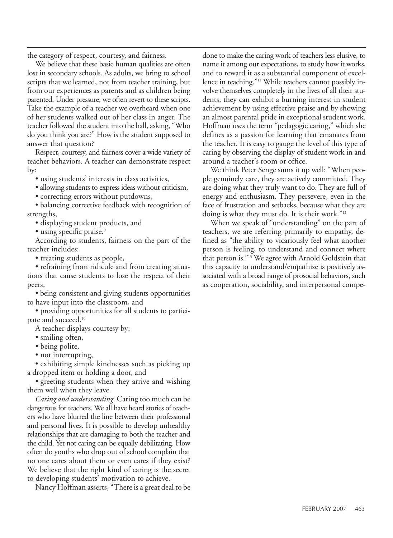the category of respect, courtesy, and fairness.

We believe that these basic human qualities are often lost in secondary schools. As adults, we bring to school scripts that we learned, not from teacher training, but from our experiences as parents and as children being parented. Under pressure, we often revert to these scripts. Take the example of a teacher we overheard when one of her students walked out of her class in anger. The teacher followed the student into the hall, asking, "Who do you think you are?" How is the student supposed to answer that question?

Respect, courtesy, and fairness cover a wide variety of teacher behaviors. A teacher can demonstrate respect by:

• using students' interests in class activities,

• allowing students to express ideas without criticism,

• correcting errors without putdowns,

• balancing corrective feedback with recognition of strengths,

• displaying student products, and

• using specific praise.<sup>9</sup>

According to students, fairness on the part of the teacher includes:

• treating students as people,

• refraining from ridicule and from creating situations that cause students to lose the respect of their peers,

• being consistent and giving students opportunities to have input into the classroom, and

• providing opportunities for all students to participate and succeed.10

A teacher displays courtesy by:

• smiling often,

• being polite,

• not interrupting,

• exhibiting simple kindnesses such as picking up a dropped item or holding a door, and

• greeting students when they arrive and wishing them well when they leave.

*Caring and understanding*. Caring too much can be dangerous for teachers. We all have heard stories of teachers who have blurred the line between their professional and personal lives. It is possible to develop unhealthy relationships that are damaging to both the teacher and the child. Yet not caring can be equally debilitating. How often do youths who drop out of school complain that no one cares about them or even cares if they exist? We believe that the right kind of caring is the secret to developing students' motivation to achieve.

Nancy Hoffman asserts, "There is a great deal to be

done to make the caring work of teachers less elusive, to name it among our expectations, to study how it works, and to reward it as a substantial component of excellence in teaching."11 While teachers cannot possibly involve themselves completely in the lives of all their students, they can exhibit a burning interest in student achievement by using effective praise and by showing an almost parental pride in exceptional student work. Hoffman uses the term "pedagogic caring," which she defines as a passion for learning that emanates from the teacher. It is easy to gauge the level of this type of caring by observing the display of student work in and around a teacher's room or office.

We think Peter Senge sums it up well: "When people genuinely care, they are actively committed. They are doing what they truly want to do. They are full of energy and enthusiasm. They persevere, even in the face of frustration and setbacks, because what they are doing is what they must do. It is their work."12

When we speak of "understanding" on the part of teachers, we are referring primarily to empathy, defined as "the ability to vicariously feel what another person is feeling, to understand and connect where that person is."13 We agree with Arnold Goldstein that this capacity to understand/empathize is positively associated with a broad range of prosocial behaviors, such as cooperation, sociability, and interpersonal compe-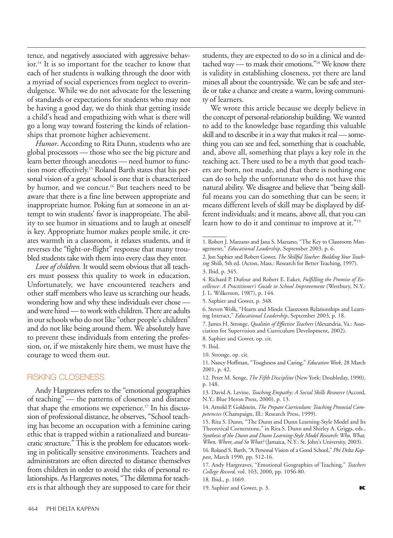tence, and negatively associated with aggressive behavior.<sup>14</sup> It is so important for the teacher to know that each of her students is walking through the door with a myriad of social experiences from neglect to overindulgence. While we do not advocate for the lessening of standards or expectations for students who may not be having a good day, we do think that getting inside a child's head and empathizing with what is there will go a long way toward fostering the kinds of relationships that promote higher achievement.

*Humor*. According to Rita Dunn, students who are global processors — those who see the big picture and learn better through anecdotes — need humor to function more effectively.15 Roland Barth states that his personal vision of a great school is one that is characterized by humor, and we concur.<sup>16</sup> But teachers need to be aware that there is a fine line between appropriate and inappropriate humor. Poking fun at someone in an attempt to win students' favor is inappropriate. The ability to see humor in situations and to laugh at oneself is key. Appropriate humor makes people smile, it creates warmth in a classroom, it relaxes students, and it reverses the "fight-or-flight" response that many troubled students take with them into every class they enter.

*Love of children.* It would seem obvious that all teachers must possess this quality to work in education. Unfortunately, we have encountered teachers and other staff members who leave us scratching our heads, wondering how and why these individuals ever chose and were hired — to work with children. There are adults in our schools who do not like "other people's children" and do not like being around them. We absolutely have to prevent these individuals from entering the profession, or, if we mistakenly hire them, we must have the courage to weed them out.

#### RISKING CLOSENESS

Andy Hargreaves refers to the "emotional geographies of teaching" — the patterns of closeness and distance that shape the emotions we experience.<sup>17</sup> In his discussion of professional distance, he observes, "School teaching has become an occupation with a feminine caring ethic that is trapped within a rationalized and bureaucratic structure." This is the problem for educators working in politically sensitive environments. Teachers and administrators are often directed to distance themselves from children in order to avoid the risks of personal relationships. As Hargreaves notes, "The dilemma for teachers is that although they are supposed to care for their students, they are expected to do so in a clinical and detached way — to mask their emotions."18 We know there is validity in establishing closeness, yet there are land mines all about the countryside. We can be safe and sterile or take a chance and create a warm, loving community of learners.

We wrote this article because we deeply believe in the concept of personal-relationship building. We wanted to add to the knowledge base regarding this valuable skill and to describe it in a way that makes it real — something you can see and feel, something that is coachable, and, above all, something that plays a key role in the teaching act. There used to be a myth that good teachers are born, not made, and that there is nothing one can do to help the unfortunate who do not have this natural ability. We disagree and believe that "being skillful means you can do something that can be seen; it means different levels of skill may be displayed by different individuals; and it means, above all, that you can learn how to do it and continue to improve at it."<sup>19</sup>

- 10. Stronge, op. cit.
- 11. Nancy Hoffman, "Toughness and Caring," *Education Week,* 28 March 2001, p. 42.

19. Saphier and Gower, p. 3.

<sup>1.</sup> Robert J. Marzano and Jana S. Marzano, "The Key to Classroom Management," *Educational Leadership*, September 2003, p. 6.

<sup>2.</sup> Jon Saphier and Robert Gower, *The Skillful Teacher: Building Your Teaching Skills*, 5th ed. (Acton, Mass.: Research for Better Teaching, 1997).

<sup>3.</sup> Ibid, p. 345.

<sup>4.</sup> Richard P. Dufour and Robert E. Eaker, *Fulfilling the Promise of Excellence: A Practitioner's Guide to School Improvement* (Westbury, N.Y.:

J. L. Wilkerson, 1987), p. 144.

<sup>5.</sup> Saphier and Gower, p. 348.

<sup>6.</sup> Steven Wolk, "Hearts and Minds: Classroom Relationships and Learning Interact," *Educational Leadership*, September 2003, p. 18.

<sup>7.</sup> James H. Stronge, *Qualities of Effective Teachers* (Alexandria, Va.: Association for Supervision and Curriculum Development, 2002).

<sup>8.</sup> Saphier and Gower, op. cit.

<sup>9.</sup> Ibid.

<sup>12.</sup> Peter M. Senge, *The Fifth Discipline* (New York: Doubleday, 1990), p. 148.

<sup>13.</sup> David A. Levine, *Teaching Empathy: A Social Skills Resource* (Accord, N.Y.: Blue Heron Press, 2000), p. 13.

<sup>14.</sup> Arnold P. Goldstein, *The Prepare Curriculum: Teaching Prosocial Competencies* (Champaign, Ill.: Research Press, 1999).

<sup>15.</sup> Rita S. Dunn, "The Dunn and Dunn Learning-Style Model and Its Theoretical Cornerstone," in Rita S. Dunn and Shirley A. Griggs, eds., *Synthesis of the Dunn and Dunn Learning-Style Model Research: Who, What, When, Where, and So What?* (Jamaica, N.Y.: St. John's University, 2003).

<sup>16.</sup> Roland S. Barth, "A Personal Vision of a Good School," *Phi Delta Kappan*, March 1990, pp. 512-16.

<sup>17.</sup> Andy Hargreaves, "Emotional Geographies of Teaching," *Teachers College Record,* vol. 103, 2000, pp. 1056-80.

<sup>18.</sup> Ibid., p. 1069.